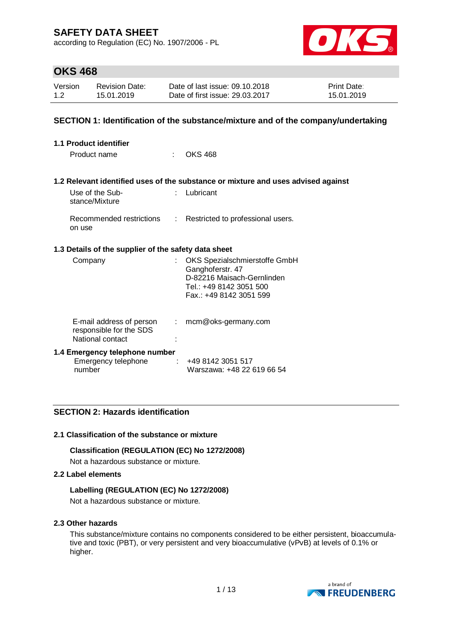according to Regulation (EC) No. 1907/2006 - PL



## **OKS 468**

| Version | <b>Revision Date:</b> | Date of last issue: 09.10.2018  | <b>Print Date:</b> |
|---------|-----------------------|---------------------------------|--------------------|
| 1.2     | 15.01.2019            | Date of first issue: 29.03.2017 | 15.01.2019         |

### **SECTION 1: Identification of the substance/mixture and of the company/undertaking**

| <b>1.1 Product identifier</b>                                           |                           |                                                                                                            |
|-------------------------------------------------------------------------|---------------------------|------------------------------------------------------------------------------------------------------------|
| Product name<br>٠.                                                      |                           | OKS 468                                                                                                    |
|                                                                         |                           |                                                                                                            |
|                                                                         |                           | 1.2 Relevant identified uses of the substance or mixture and uses advised against                          |
| Use of the Sub-<br>stance/Mixture                                       |                           | Lubricant                                                                                                  |
| Recommended restrictions<br>on use                                      | $\mathbb{R}^{\mathbb{Z}}$ | Restricted to professional users.                                                                          |
| 1.3 Details of the supplier of the safety data sheet                    |                           |                                                                                                            |
| Company                                                                 |                           | OKS Spezialschmierstoffe GmbH<br>Ganghoferstr. 47<br>D-82216 Maisach-Gernlinden<br>Tel.: +49 8142 3051 500 |
|                                                                         |                           | Fax: +49 8142 3051 599                                                                                     |
| E-mail address of person<br>responsible for the SDS<br>National contact | $\mathbb{R}^{\mathbb{Z}}$ | mcm@oks-germany.com                                                                                        |
| 1.4 Emergency telephone number                                          |                           |                                                                                                            |
| Emergency telephone<br>number                                           |                           | $\div$ +49 8142 3051 517<br>Warszawa: +48 22 619 66 54                                                     |

## **SECTION 2: Hazards identification**

#### **2.1 Classification of the substance or mixture**

#### **Classification (REGULATION (EC) No 1272/2008)**

Not a hazardous substance or mixture.

#### **2.2 Label elements**

#### **Labelling (REGULATION (EC) No 1272/2008)**

Not a hazardous substance or mixture.

### **2.3 Other hazards**

This substance/mixture contains no components considered to be either persistent, bioaccumulative and toxic (PBT), or very persistent and very bioaccumulative (vPvB) at levels of 0.1% or higher.

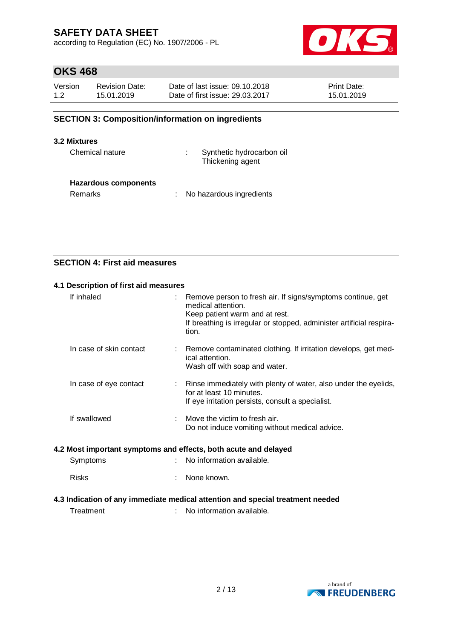according to Regulation (EC) No. 1907/2006 - PL



# **OKS 468**

| Version | <b>Revision Date:</b> | Date of last issue: 09.10.2018  | <b>Print Date:</b> |
|---------|-----------------------|---------------------------------|--------------------|
| 1.2     | 15.01.2019            | Date of first issue: 29,03,2017 | 15.01.2019         |

## **SECTION 3: Composition/information on ingredients**

#### **3.2 Mixtures**

Chemical nature : Synthetic hydrocarbon oil Thickening agent

#### **Hazardous components**

Remarks : No hazardous ingredients

## **SECTION 4: First aid measures**

#### **4.1 Description of first aid measures**

| If inhaled                                                      | Remove person to fresh air. If signs/symptoms continue, get<br>medical attention.<br>Keep patient warm and at rest.<br>If breathing is irregular or stopped, administer artificial respira-<br>tion. |
|-----------------------------------------------------------------|------------------------------------------------------------------------------------------------------------------------------------------------------------------------------------------------------|
| In case of skin contact                                         | Remove contaminated clothing. If irritation develops, get med-<br>ical attention.<br>Wash off with soap and water.                                                                                   |
| In case of eye contact<br>÷                                     | Rinse immediately with plenty of water, also under the eyelids,<br>for at least 10 minutes.<br>If eye irritation persists, consult a specialist.                                                     |
| If swallowed                                                    | Move the victim to fresh air.<br>Do not induce vomiting without medical advice.                                                                                                                      |
| 4.2 Most important symptoms and effects, both acute and delayed |                                                                                                                                                                                                      |
| Symptoms                                                        | No information available.                                                                                                                                                                            |
| <b>Risks</b>                                                    | None known.                                                                                                                                                                                          |

#### **4.3 Indication of any immediate medical attention and special treatment needed**

Treatment : No information available.

a brand of **NO FREUDENBERG**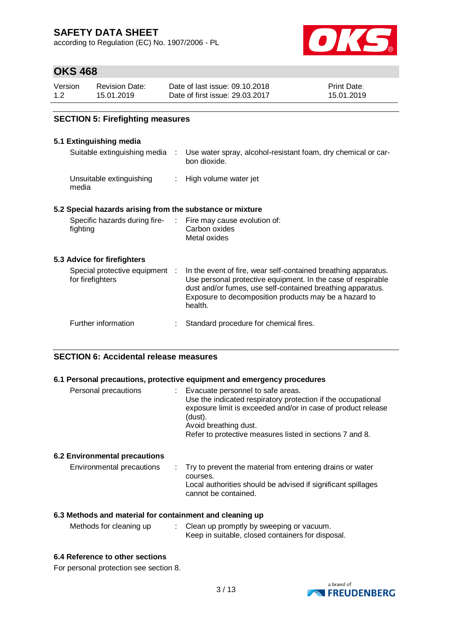according to Regulation (EC) No. 1907/2006 - PL



# **OKS 468**

| Version | <b>Revision Date:</b> | Date of last issue: 09.10.2018  | <b>Print Date:</b> |
|---------|-----------------------|---------------------------------|--------------------|
| 1.2     | 15.01.2019            | Date of first issue: 29.03.2017 | 15.01.2019         |

## **SECTION 5: Firefighting measures**

#### **5.1 Extinguishing media**

| Suitable extinguishing media :                                           | Use water spray, alcohol-resistant foam, dry chemical or car-<br>bon dioxide.                                                                                                                                                                                    |
|--------------------------------------------------------------------------|------------------------------------------------------------------------------------------------------------------------------------------------------------------------------------------------------------------------------------------------------------------|
| Unsuitable extinguishing<br>media                                        | : High volume water jet                                                                                                                                                                                                                                          |
| 5.2 Special hazards arising from the substance or mixture                |                                                                                                                                                                                                                                                                  |
| Specific hazards during fire- : Fire may cause evolution of:<br>fighting | Carbon oxides<br>Metal oxides                                                                                                                                                                                                                                    |
| 5.3 Advice for firefighters                                              |                                                                                                                                                                                                                                                                  |
| Special protective equipment :<br>for firefighters                       | In the event of fire, wear self-contained breathing apparatus.<br>Use personal protective equipment. In the case of respirable<br>dust and/or fumes, use self-contained breathing apparatus.<br>Exposure to decomposition products may be a hazard to<br>health. |
| Further information                                                      | Standard procedure for chemical fires.                                                                                                                                                                                                                           |

### **SECTION 6: Accidental release measures**

#### **6.1 Personal precautions, protective equipment and emergency procedures**

| Personal precautions                                       | : Evacuate personnel to safe areas.<br>Use the indicated respiratory protection if the occupational<br>exposure limit is exceeded and/or in case of product release<br>(dust).<br>Avoid breathing dust.<br>Refer to protective measures listed in sections 7 and 8. |
|------------------------------------------------------------|---------------------------------------------------------------------------------------------------------------------------------------------------------------------------------------------------------------------------------------------------------------------|
| 6.2 Environmental precautions<br>Environmental precautions | : Try to prevent the material from entering drains or water<br>courses.                                                                                                                                                                                             |
|                                                            | Local authorities should be advised if significant spillages<br>cannot be contained.                                                                                                                                                                                |

### **6.3 Methods and material for containment and cleaning up**

| Clean up promptly by sweeping or vacuum.<br>Methods for cleaning up<br>Keep in suitable, closed containers for disposal. |
|--------------------------------------------------------------------------------------------------------------------------|
|                                                                                                                          |

### **6.4 Reference to other sections**

For personal protection see section 8.

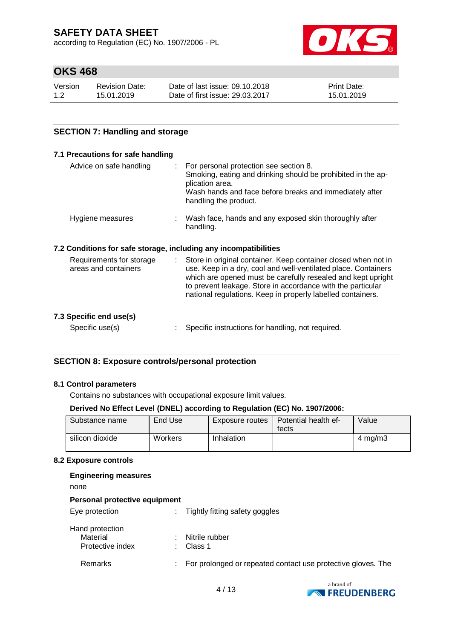according to Regulation (EC) No. 1907/2006 - PL



# **OKS 468**

| Version | <b>Revision Date:</b> | Date of last issue: 09.10.2018  | <b>Print Date:</b> |
|---------|-----------------------|---------------------------------|--------------------|
| 1.2     | 15.01.2019            | Date of first issue: 29.03.2017 | 15.01.2019         |

## **SECTION 7: Handling and storage**

#### **7.1 Precautions for safe handling**

| Advice on safe handling                          | For personal protection see section 8.<br>Smoking, eating and drinking should be prohibited in the ap-<br>plication area.<br>Wash hands and face before breaks and immediately after<br>handling the product.                                                                                                                        |
|--------------------------------------------------|--------------------------------------------------------------------------------------------------------------------------------------------------------------------------------------------------------------------------------------------------------------------------------------------------------------------------------------|
| Hygiene measures                                 | : Wash face, hands and any exposed skin thoroughly after<br>handling.                                                                                                                                                                                                                                                                |
|                                                  | 7.2 Conditions for safe storage, including any incompatibilities                                                                                                                                                                                                                                                                     |
| Requirements for storage<br>areas and containers | Store in original container. Keep container closed when not in<br>÷.<br>use. Keep in a dry, cool and well-ventilated place. Containers<br>which are opened must be carefully resealed and kept upright<br>to prevent leakage. Store in accordance with the particular<br>national regulations. Keep in properly labelled containers. |
| 7.3 Specific end use(s)                          |                                                                                                                                                                                                                                                                                                                                      |
| Specific use(s)                                  | Specific instructions for handling, not required.                                                                                                                                                                                                                                                                                    |

**SECTION 8: Exposure controls/personal protection**

#### **8.1 Control parameters**

Contains no substances with occupational exposure limit values.

#### **Derived No Effect Level (DNEL) according to Regulation (EC) No. 1907/2006:**

| Substance name  | End Use | Exposure routes | Potential health ef-<br>fects | Value            |
|-----------------|---------|-----------------|-------------------------------|------------------|
| silicon dioxide | Workers | Inhalation      |                               | $4 \text{ mg/m}$ |

#### **8.2 Exposure controls**

| <b>Engineering measures</b><br>none             |                                                                    |
|-------------------------------------------------|--------------------------------------------------------------------|
| Personal protective equipment                   |                                                                    |
| Eye protection                                  | Tightly fitting safety goggles<br>÷.                               |
| Hand protection<br>Material<br>Protective index | Nitrile rubber<br>Class 1                                          |
| Remarks                                         | For prolonged or repeated contact use protective gloves. The<br>÷. |
|                                                 |                                                                    |

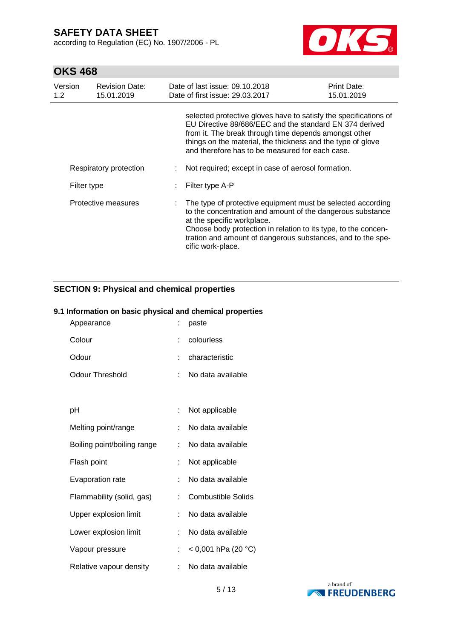according to Regulation (EC) No. 1907/2006 - PL



# **OKS 468**

| Version<br>1.2      | <b>Revision Date:</b><br>15.01.2019 | Date of last issue: 09.10.2018<br>Date of first issue: 29.03.2017                                                                                                                                                                                                                                             | Print Date:<br>15.01.2019 |
|---------------------|-------------------------------------|---------------------------------------------------------------------------------------------------------------------------------------------------------------------------------------------------------------------------------------------------------------------------------------------------------------|---------------------------|
|                     |                                     | selected protective gloves have to satisfy the specifications of<br>EU Directive 89/686/EEC and the standard EN 374 derived<br>from it. The break through time depends amongst other<br>things on the material, the thickness and the type of glove<br>and therefore has to be measured for each case.        |                           |
|                     | Respiratory protection              | Not required; except in case of aerosol formation.                                                                                                                                                                                                                                                            |                           |
|                     | Filter type                         | Filter type A-P                                                                                                                                                                                                                                                                                               |                           |
| Protective measures |                                     | The type of protective equipment must be selected according<br>to the concentration and amount of the dangerous substance<br>at the specific workplace.<br>Choose body protection in relation to its type, to the concen-<br>tration and amount of dangerous substances, and to the spe-<br>cific work-place. |                           |

## **SECTION 9: Physical and chemical properties**

#### **9.1 Information on basic physical and chemical properties**

| Appearance                  | ÷  | paste                     |
|-----------------------------|----|---------------------------|
| Colour                      | t  | colourless                |
| Odour                       |    | characteristic            |
| <b>Odour Threshold</b>      | ÷  | No data available         |
|                             |    |                           |
| рH                          |    | Not applicable            |
| Melting point/range         | t. | No data available         |
| Boiling point/boiling range | ÷  | No data available         |
| Flash point                 | t  | Not applicable            |
| Evaporation rate            | t  | No data available         |
| Flammability (solid, gas)   |    | <b>Combustible Solids</b> |
| Upper explosion limit       | ÷  | No data available         |
| Lower explosion limit       | t. | No data available         |
| Vapour pressure             | t  | $<$ 0,001 hPa (20 °C)     |
| Relative vapour density     |    | No data available         |

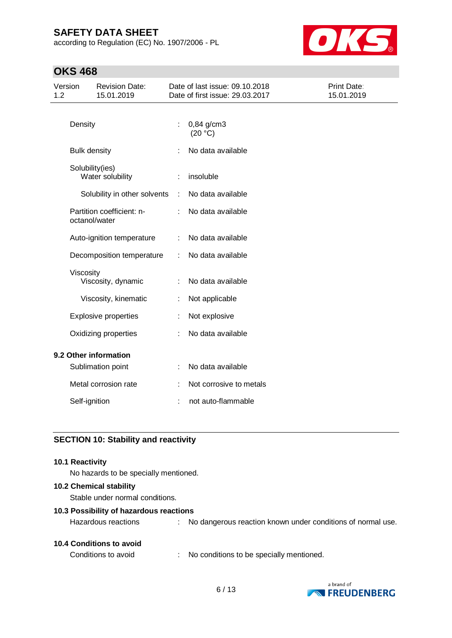according to Regulation (EC) No. 1907/2006 - PL



# **OKS 468**

| Version<br>1.2        |                      | <b>Revision Date:</b><br>15.01.2019 |                      | Date of last issue: 09.10.2018<br>Date of first issue: 29.03.2017 | <b>Print Date:</b><br>15.01.2019 |
|-----------------------|----------------------|-------------------------------------|----------------------|-------------------------------------------------------------------|----------------------------------|
|                       | Density              |                                     |                      | $0,84$ g/cm3<br>(20 °C)                                           |                                  |
|                       | <b>Bulk density</b>  |                                     |                      | No data available                                                 |                                  |
|                       | Solubility(ies)      | Water solubility                    |                      | insoluble                                                         |                                  |
|                       |                      | Solubility in other solvents        | $\ddot{\phantom{a}}$ | No data available                                                 |                                  |
|                       | octanol/water        | Partition coefficient: n-           | ÷                    | No data available                                                 |                                  |
|                       |                      | Auto-ignition temperature           | ÷                    | No data available                                                 |                                  |
|                       |                      | Decomposition temperature           | ÷                    | No data available                                                 |                                  |
|                       | Viscosity            | Viscosity, dynamic                  |                      | No data available                                                 |                                  |
|                       |                      | Viscosity, kinematic                | ÷                    | Not applicable                                                    |                                  |
|                       |                      | <b>Explosive properties</b>         |                      | Not explosive                                                     |                                  |
|                       | Oxidizing properties |                                     |                      | No data available                                                 |                                  |
| 9.2 Other information |                      |                                     |                      |                                                                   |                                  |
|                       |                      | Sublimation point                   |                      | No data available                                                 |                                  |
|                       |                      | Metal corrosion rate                |                      | Not corrosive to metals                                           |                                  |
|                       | Self-ignition        |                                     |                      | not auto-flammable                                                |                                  |
|                       |                      |                                     |                      |                                                                   |                                  |

## **SECTION 10: Stability and reactivity**

#### **10.1 Reactivity**

No hazards to be specially mentioned.

#### **10.2 Chemical stability**

Stable under normal conditions.

#### **10.3 Possibility of hazardous reactions**

| <b>10.4 Conditions to avoid</b> |  |
|---------------------------------|--|
|                                 |  |

Conditions to avoid : No conditions to be specially mentioned.

Hazardous reactions : No dangerous reaction known under conditions of normal use.

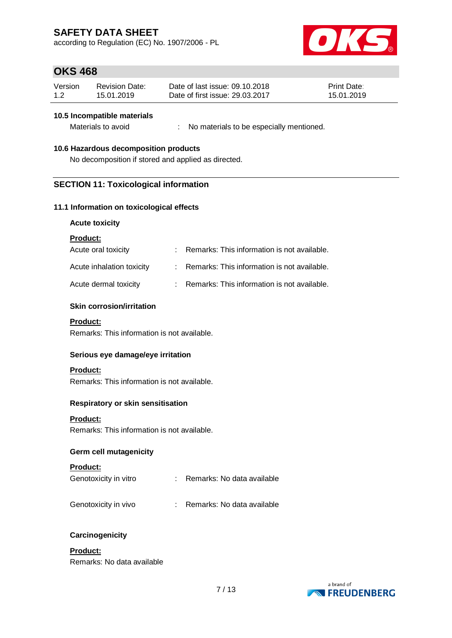according to Regulation (EC) No. 1907/2006 - PL



## **OKS 468**

| Version | <b>Revision Date:</b> | Date of last issue: 09.10.2018  | <b>Print Date:</b> |
|---------|-----------------------|---------------------------------|--------------------|
| 1.2     | 15.01.2019            | Date of first issue: 29.03.2017 | 15.01.2019         |

#### **10.5 Incompatible materials**

Materials to avoid : No materials to be especially mentioned.

#### **10.6 Hazardous decomposition products**

No decomposition if stored and applied as directed.

### **SECTION 11: Toxicological information**

#### **11.1 Information on toxicological effects**

#### **Acute toxicity**

#### **Product:**

| Acute oral toxicity       | : Remarks: This information is not available. |
|---------------------------|-----------------------------------------------|
| Acute inhalation toxicity | : Remarks: This information is not available. |
| Acute dermal toxicity     | : Remarks: This information is not available. |

#### **Skin corrosion/irritation**

#### **Product:**

Remarks: This information is not available.

#### **Serious eye damage/eye irritation**

#### **Product:**

Remarks: This information is not available.

#### **Respiratory or skin sensitisation**

#### **Product:**

Remarks: This information is not available.

### **Germ cell mutagenicity**

#### **Product:**

| Genotoxicity in vitro |  | Remarks: No data available |
|-----------------------|--|----------------------------|
|-----------------------|--|----------------------------|

- Genotoxicity in vivo : Remarks: No data available
	-

#### **Carcinogenicity**

### **Product:** Remarks: No data available

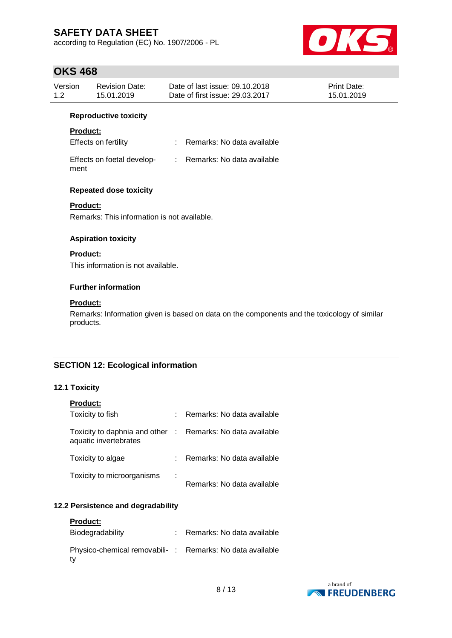according to Regulation (EC) No. 1907/2006 - PL



## **OKS 468**

| Version | <b>Revision Date:</b> | Date of last issue: 09.10.2018  | <b>Print Date:</b> |
|---------|-----------------------|---------------------------------|--------------------|
| 1.2     | 15.01.2019            | Date of first issue: 29,03,2017 | 15.01.2019         |
|         |                       |                                 |                    |

#### **Reproductive toxicity**

## **Product:**

| <b>Effects on fertility</b> |  | Remarks: No data available |
|-----------------------------|--|----------------------------|
|-----------------------------|--|----------------------------|

| Effects on foetal develop- | Remarks: No data available |
|----------------------------|----------------------------|
| ment                       |                            |

### **Repeated dose toxicity**

### **Product:**

Remarks: This information is not available.

#### **Aspiration toxicity**

## **Product:**

This information is not available.

#### **Further information**

#### **Product:**

Remarks: Information given is based on data on the components and the toxicology of similar products.

## **SECTION 12: Ecological information**

#### **12.1 Toxicity**

| <b>Product:</b>                                        |    |                              |
|--------------------------------------------------------|----|------------------------------|
| Toxicity to fish                                       |    | Remarks: No data available   |
| Toxicity to daphnia and other<br>aquatic invertebrates |    | : Remarks: No data available |
| Toxicity to algae                                      |    | Remarks: No data available   |
| Toxicity to microorganisms                             | İ. | Remarks: No data available   |

## **12.2 Persistence and degradability**

| <b>Product:</b>                                                |                            |
|----------------------------------------------------------------|----------------------------|
| Biodegradability                                               | Remarks: No data available |
| Physico-chemical removabili-: Remarks: No data available<br>tv |                            |

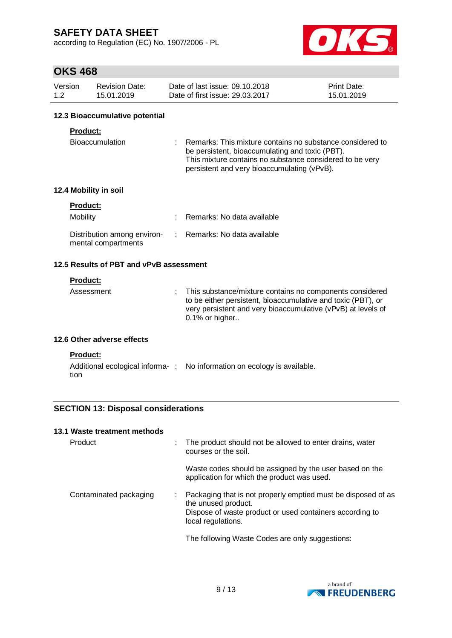according to Regulation (EC) No. 1907/2006 - PL



# **OKS 468**

| Version | Revision Date: | Date of last issue: 09.10.2018  | <b>Print Date:</b> |
|---------|----------------|---------------------------------|--------------------|
| 1.2     | 15.01.2019     | Date of first issue: 29.03.2017 | 15.01.2019         |

#### **12.3 Bioaccumulative potential**

## **Product:**

| Bioaccumulation | : Remarks: This mixture contains no substance considered to |  |
|-----------------|-------------------------------------------------------------|--|
|                 | be persistent, bioaccumulating and toxic (PBT).             |  |
|                 | This mixture contains no substance considered to be very    |  |
|                 | persistent and very bioaccumulating (vPvB).                 |  |

### **12.4 Mobility in soil**

| <b>Product:</b>                                    |                              |
|----------------------------------------------------|------------------------------|
| Mobility                                           | : Remarks: No data available |
| Distribution among environ-<br>mental compartments | : Remarks: No data available |

## **12.5 Results of PBT and vPvB assessment**

### **Product:**

| : This substance/mixture contains no components considered<br>Assessment<br>to be either persistent, bioaccumulative and toxic (PBT), or<br>very persistent and very bioaccumulative (vPvB) at levels of<br>$0.1\%$ or higher |
|-------------------------------------------------------------------------------------------------------------------------------------------------------------------------------------------------------------------------------|
|-------------------------------------------------------------------------------------------------------------------------------------------------------------------------------------------------------------------------------|

### **12.6 Other adverse effects**

#### **Product:**

|      | Additional ecological informa-: No information on ecology is available. |
|------|-------------------------------------------------------------------------|
| tion |                                                                         |

## **SECTION 13: Disposal considerations**

#### **13.1 Waste treatment methods**

| Product                | The product should not be allowed to enter drains, water<br>courses or the soil.                                                                                       |
|------------------------|------------------------------------------------------------------------------------------------------------------------------------------------------------------------|
|                        | Waste codes should be assigned by the user based on the<br>application for which the product was used.                                                                 |
| Contaminated packaging | Packaging that is not properly emptied must be disposed of as<br>the unused product.<br>Dispose of waste product or used containers according to<br>local regulations. |
|                        | The following Waste Codes are only suggestions:                                                                                                                        |

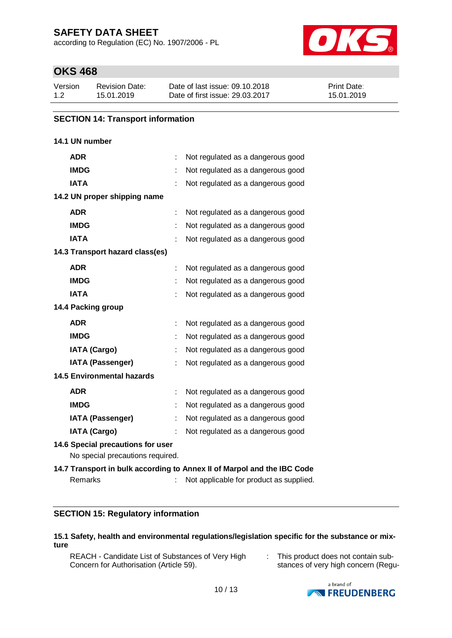according to Regulation (EC) No. 1907/2006 - PL



# **OKS 468**

| Version | <b>Revision Date:</b> | Date of last issue: 09.10.2018  | <b>Print Date:</b> |
|---------|-----------------------|---------------------------------|--------------------|
| 1.2     | 15.01.2019            | Date of first issue: 29.03.2017 | 15.01.2019         |

#### **SECTION 14: Transport information**

## **14.1 UN number**

| <b>ADR</b>                        | Not regulated as a dangerous good                                       |
|-----------------------------------|-------------------------------------------------------------------------|
| <b>IMDG</b>                       | Not regulated as a dangerous good                                       |
| <b>IATA</b>                       | Not regulated as a dangerous good                                       |
| 14.2 UN proper shipping name      |                                                                         |
| <b>ADR</b>                        | Not regulated as a dangerous good                                       |
| <b>IMDG</b>                       | Not regulated as a dangerous good                                       |
| <b>IATA</b>                       | Not regulated as a dangerous good                                       |
| 14.3 Transport hazard class(es)   |                                                                         |
| <b>ADR</b>                        | Not regulated as a dangerous good                                       |
| <b>IMDG</b>                       | Not regulated as a dangerous good                                       |
| <b>IATA</b>                       | Not regulated as a dangerous good                                       |
| 14.4 Packing group                |                                                                         |
| <b>ADR</b>                        | Not regulated as a dangerous good                                       |
| <b>IMDG</b>                       | Not regulated as a dangerous good                                       |
| <b>IATA (Cargo)</b>               | Not regulated as a dangerous good                                       |
| <b>IATA (Passenger)</b>           | Not regulated as a dangerous good                                       |
| <b>14.5 Environmental hazards</b> |                                                                         |
| <b>ADR</b>                        | Not regulated as a dangerous good                                       |
| <b>IMDG</b>                       | Not regulated as a dangerous good                                       |
| <b>IATA (Passenger)</b>           | Not regulated as a dangerous good                                       |
| <b>IATA (Cargo)</b>               | Not regulated as a dangerous good                                       |
| 14.6 Special precautions for user |                                                                         |
| No special precautions required.  |                                                                         |
|                                   | 14.7 Transport in bulk according to Annex II of Marpol and the IBC Code |
| Remarks                           | Not applicable for product as supplied.                                 |

## **SECTION 15: Regulatory information**

#### **15.1 Safety, health and environmental regulations/legislation specific for the substance or mixture**

- REACH Candidate List of Substances of Very High Concern for Authorisation (Article 59).
- : This product does not contain substances of very high concern (Regu-

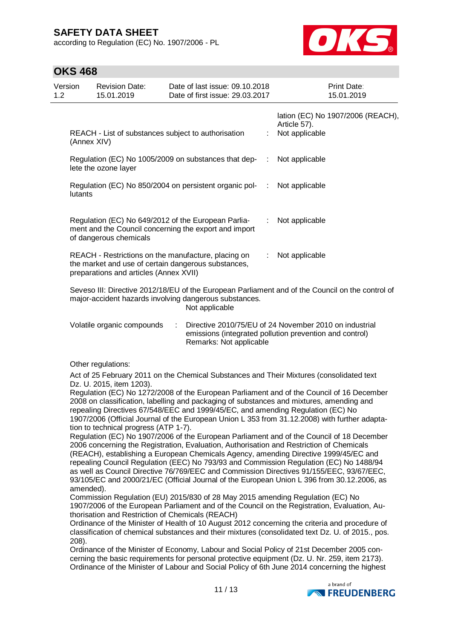according to Regulation (EC) No. 1907/2006 - PL



# **OKS 468**

| טטד שווט       |                                                                                                      |                                                                                                                                                                                                                       |                      |                                                                                                                                                                                                                                                                                                                                                                                                                                                                                                                                                                                                                                                                                                                                                                                                                                                                                                                                                                                                                                                                                                                                                                                                                                                                                                                                                                                                                                                              |
|----------------|------------------------------------------------------------------------------------------------------|-----------------------------------------------------------------------------------------------------------------------------------------------------------------------------------------------------------------------|----------------------|--------------------------------------------------------------------------------------------------------------------------------------------------------------------------------------------------------------------------------------------------------------------------------------------------------------------------------------------------------------------------------------------------------------------------------------------------------------------------------------------------------------------------------------------------------------------------------------------------------------------------------------------------------------------------------------------------------------------------------------------------------------------------------------------------------------------------------------------------------------------------------------------------------------------------------------------------------------------------------------------------------------------------------------------------------------------------------------------------------------------------------------------------------------------------------------------------------------------------------------------------------------------------------------------------------------------------------------------------------------------------------------------------------------------------------------------------------------|
| Version<br>1.2 | <b>Revision Date:</b><br>15.01.2019                                                                  | Date of last issue: 09.10.2018<br>Date of first issue: 29.03.2017                                                                                                                                                     |                      | Print Date:<br>15.01.2019                                                                                                                                                                                                                                                                                                                                                                                                                                                                                                                                                                                                                                                                                                                                                                                                                                                                                                                                                                                                                                                                                                                                                                                                                                                                                                                                                                                                                                    |
|                | (Annex XIV)                                                                                          | REACH - List of substances subject to authorisation                                                                                                                                                                   | t                    | lation (EC) No 1907/2006 (REACH),<br>Article 57).<br>Not applicable                                                                                                                                                                                                                                                                                                                                                                                                                                                                                                                                                                                                                                                                                                                                                                                                                                                                                                                                                                                                                                                                                                                                                                                                                                                                                                                                                                                          |
|                | lete the ozone layer                                                                                 | Regulation (EC) No 1005/2009 on substances that dep-                                                                                                                                                                  | $\ddot{\phantom{a}}$ | Not applicable                                                                                                                                                                                                                                                                                                                                                                                                                                                                                                                                                                                                                                                                                                                                                                                                                                                                                                                                                                                                                                                                                                                                                                                                                                                                                                                                                                                                                                               |
| lutants        |                                                                                                      | Regulation (EC) No 850/2004 on persistent organic pol-                                                                                                                                                                | ÷                    | Not applicable                                                                                                                                                                                                                                                                                                                                                                                                                                                                                                                                                                                                                                                                                                                                                                                                                                                                                                                                                                                                                                                                                                                                                                                                                                                                                                                                                                                                                                               |
|                | of dangerous chemicals                                                                               | Regulation (EC) No 649/2012 of the European Parlia-<br>ment and the Council concerning the export and import                                                                                                          | ÷                    | Not applicable                                                                                                                                                                                                                                                                                                                                                                                                                                                                                                                                                                                                                                                                                                                                                                                                                                                                                                                                                                                                                                                                                                                                                                                                                                                                                                                                                                                                                                               |
|                | preparations and articles (Annex XVII)                                                               | REACH - Restrictions on the manufacture, placing on<br>the market and use of certain dangerous substances,                                                                                                            |                      | Not applicable                                                                                                                                                                                                                                                                                                                                                                                                                                                                                                                                                                                                                                                                                                                                                                                                                                                                                                                                                                                                                                                                                                                                                                                                                                                                                                                                                                                                                                               |
|                |                                                                                                      | major-accident hazards involving dangerous substances.<br>Not applicable                                                                                                                                              |                      | Seveso III: Directive 2012/18/EU of the European Parliament and of the Council on the control of                                                                                                                                                                                                                                                                                                                                                                                                                                                                                                                                                                                                                                                                                                                                                                                                                                                                                                                                                                                                                                                                                                                                                                                                                                                                                                                                                             |
|                | Volatile organic compounds                                                                           | ÷<br>Remarks: Not applicable                                                                                                                                                                                          |                      | Directive 2010/75/EU of 24 November 2010 on industrial<br>emissions (integrated pollution prevention and control)                                                                                                                                                                                                                                                                                                                                                                                                                                                                                                                                                                                                                                                                                                                                                                                                                                                                                                                                                                                                                                                                                                                                                                                                                                                                                                                                            |
| 208).          | Other regulations:<br>Dz. U. 2015, item 1203).<br>tion to technical progress (ATP 1-7).<br>amended). | repealing Directives 67/548/EEC and 1999/45/EC, and amending Regulation (EC) No<br>Commission Regulation (EU) 2015/830 of 28 May 2015 amending Regulation (EC) No<br>thorisation and Restriction of Chemicals (REACH) |                      | Act of 25 February 2011 on the Chemical Substances and Their Mixtures (consolidated text<br>Regulation (EC) No 1272/2008 of the European Parliament and of the Council of 16 December<br>2008 on classification, labelling and packaging of substances and mixtures, amending and<br>1907/2006 (Official Journal of the European Union L 353 from 31.12.2008) with further adapta-<br>Regulation (EC) No 1907/2006 of the European Parliament and of the Council of 18 December<br>2006 concerning the Registration, Evaluation, Authorisation and Restriction of Chemicals<br>(REACH), establishing a European Chemicals Agency, amending Directive 1999/45/EC and<br>repealing Council Regulation (EEC) No 793/93 and Commission Regulation (EC) No 1488/94<br>as well as Council Directive 76/769/EEC and Commission Directives 91/155/EEC, 93/67/EEC,<br>93/105/EC and 2000/21/EC (Official Journal of the European Union L 396 from 30.12.2006, as<br>1907/2006 of the European Parliament and of the Council on the Registration, Evaluation, Au-<br>Ordinance of the Minister of Health of 10 August 2012 concerning the criteria and procedure of<br>classification of chemical substances and their mixtures (consolidated text Dz. U. of 2015., pos.<br>Ordinance of the Minister of Economy, Labour and Social Policy of 21st December 2005 con-<br>cerning the basic requirements for personal protective equipment (Dz. U. Nr. 259, item 2173). |
|                |                                                                                                      | 11/13                                                                                                                                                                                                                 |                      | Ordinance of the Minister of Labour and Social Policy of 6th June 2014 concerning the highest<br>a brand of<br><b>NEREUDENBERG</b>                                                                                                                                                                                                                                                                                                                                                                                                                                                                                                                                                                                                                                                                                                                                                                                                                                                                                                                                                                                                                                                                                                                                                                                                                                                                                                                           |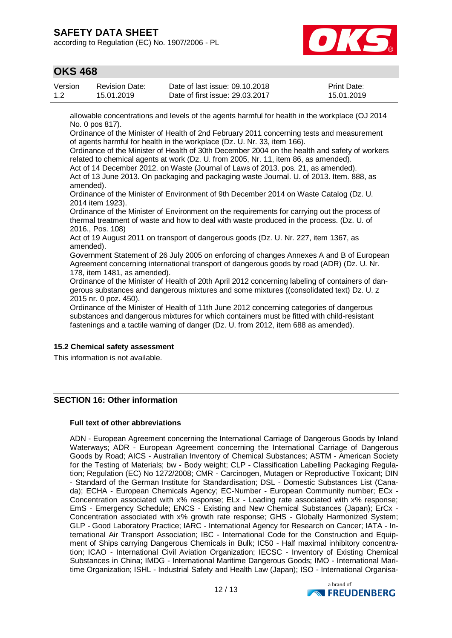according to Regulation (EC) No. 1907/2006 - PL



## **OKS 468**

| Version | <b>Revision Date:</b> | Date of last issue: 09.10.2018  | Print Date: |
|---------|-----------------------|---------------------------------|-------------|
| 1.2     | 15.01.2019            | Date of first issue: 29.03.2017 | 15.01.2019  |

allowable concentrations and levels of the agents harmful for health in the workplace (OJ 2014 No. 0 pos 817).

Ordinance of the Minister of Health of 2nd February 2011 concerning tests and measurement of agents harmful for health in the workplace (Dz. U. Nr. 33, item 166).

Ordinance of the Minister of Health of 30th December 2004 on the health and safety of workers related to chemical agents at work (Dz. U. from 2005, Nr. 11, item 86, as amended).

Act of 14 December 2012. on Waste (Journal of Laws of 2013. pos. 21, as amended).

Act of 13 June 2013. On packaging and packaging waste Journal. U. of 2013. Item. 888, as amended).

Ordinance of the Minister of Environment of 9th December 2014 on Waste Catalog (Dz. U. 2014 item 1923).

Ordinance of the Minister of Environment on the requirements for carrying out the process of thermal treatment of waste and how to deal with waste produced in the process. (Dz. U. of 2016., Pos. 108)

Act of 19 August 2011 on transport of dangerous goods (Dz. U. Nr. 227, item 1367, as amended).

Government Statement of 26 July 2005 on enforcing of changes Annexes A and B of European Agreement concerning international transport of dangerous goods by road (ADR) (Dz. U. Nr. 178, item 1481, as amended).

Ordinance of the Minister of Health of 20th April 2012 concerning labeling of containers of dangerous substances and dangerous mixtures and some mixtures ((consolidated text) Dz. U. z 2015 nr. 0 poz. 450).

Ordinance of the Minister of Health of 11th June 2012 concerning categories of dangerous substances and dangerous mixtures for which containers must be fitted with child-resistant fastenings and a tactile warning of danger (Dz. U. from 2012, item 688 as amended).

#### **15.2 Chemical safety assessment**

This information is not available.

## **SECTION 16: Other information**

#### **Full text of other abbreviations**

ADN - European Agreement concerning the International Carriage of Dangerous Goods by Inland Waterways; ADR - European Agreement concerning the International Carriage of Dangerous Goods by Road; AICS - Australian Inventory of Chemical Substances; ASTM - American Society for the Testing of Materials; bw - Body weight; CLP - Classification Labelling Packaging Regulation; Regulation (EC) No 1272/2008; CMR - Carcinogen, Mutagen or Reproductive Toxicant; DIN - Standard of the German Institute for Standardisation; DSL - Domestic Substances List (Canada); ECHA - European Chemicals Agency; EC-Number - European Community number; ECx - Concentration associated with x% response; ELx - Loading rate associated with x% response; EmS - Emergency Schedule; ENCS - Existing and New Chemical Substances (Japan); ErCx - Concentration associated with x% growth rate response; GHS - Globally Harmonized System; GLP - Good Laboratory Practice; IARC - International Agency for Research on Cancer; IATA - International Air Transport Association; IBC - International Code for the Construction and Equipment of Ships carrying Dangerous Chemicals in Bulk; IC50 - Half maximal inhibitory concentration; ICAO - International Civil Aviation Organization; IECSC - Inventory of Existing Chemical Substances in China; IMDG - International Maritime Dangerous Goods; IMO - International Maritime Organization; ISHL - Industrial Safety and Health Law (Japan); ISO - International Organisa-